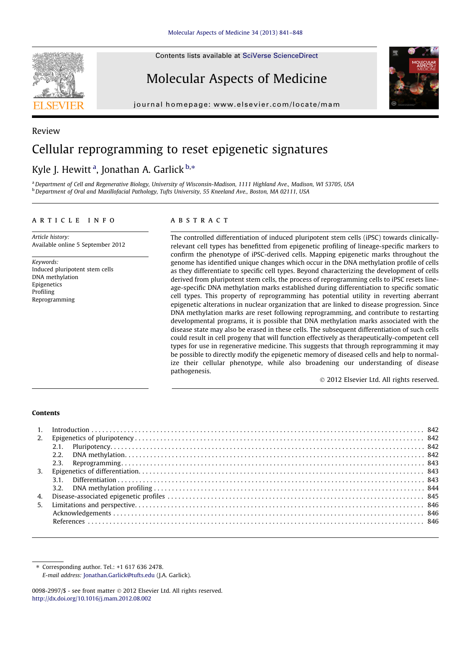Contents lists available at [SciVerse ScienceDirect](http://www.sciencedirect.com/science/journal/00982997)

# Molecular Aspects of Medicine

journal homepage: [www.elsevier.com/locate/mam](http://www.elsevier.com/locate/mam)

# Review Cellular reprogramming to reset epigenetic signatures

## Kyle J. Hewitt <sup>a</sup>, Jonathan A. Garlick <sup>b,</sup>\*

a Department of Cell and Regenerative Biology, University of Wisconsin-Madison, 1111 Highland Ave., Madison, WI 53705, USA b Department of Oral and Maxillofacial Pathology, Tufts University, 55 Kneeland Ave., Boston, MA 02111, USA

#### article info

Article history: Available online 5 September 2012

Keywords: Induced pluripotent stem cells DNA methylation Epigenetics Profiling Reprogramming

### **ABSTRACT**

The controlled differentiation of induced pluripotent stem cells (iPSC) towards clinicallyrelevant cell types has benefitted from epigenetic profiling of lineage-specific markers to confirm the phenotype of iPSC-derived cells. Mapping epigenetic marks throughout the genome has identified unique changes which occur in the DNA methylation profile of cells as they differentiate to specific cell types. Beyond characterizing the development of cells derived from pluripotent stem cells, the process of reprogramming cells to iPSC resets lineage-specific DNA methylation marks established during differentiation to specific somatic cell types. This property of reprogramming has potential utility in reverting aberrant epigenetic alterations in nuclear organization that are linked to disease progression. Since DNA methylation marks are reset following reprogramming, and contribute to restarting developmental programs, it is possible that DNA methylation marks associated with the disease state may also be erased in these cells. The subsequent differentiation of such cells could result in cell progeny that will function effectively as therapeutically-competent cell types for use in regenerative medicine. This suggests that through reprogramming it may be possible to directly modify the epigenetic memory of diseased cells and help to normalize their cellular phenotype, while also broadening our understanding of disease pathogenesis.

- 2012 Elsevier Ltd. All rights reserved.

#### Contents

| 5. |  |
|----|--|
|    |  |

⇑ Corresponding author. Tel.: +1 617 636 2478. E-mail address: [Jonathan.Garlick@tufts.edu](mailto:Jonathan.Garlick@tufts.edu) (J.A. Garlick).





<sup>0098-2997/\$ -</sup> see front matter © 2012 Elsevier Ltd. All rights reserved. <http://dx.doi.org/10.1016/j.mam.2012.08.002>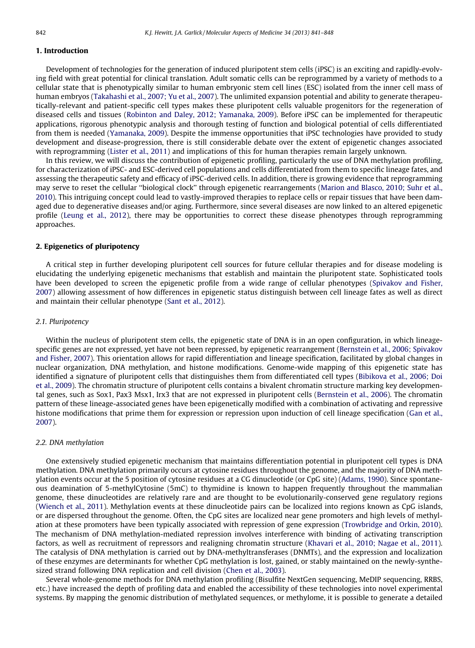### 1. Introduction

Development of technologies for the generation of induced pluripotent stem cells (iPSC) is an exciting and rapidly-evolving field with great potential for clinical translation. Adult somatic cells can be reprogrammed by a variety of methods to a cellular state that is phenotypically similar to human embryonic stem cell lines (ESC) isolated from the inner cell mass of human embryos [\(Takahashi et al., 2007; Yu et al., 2007\)](#page-7-0). The unlimited expansion potential and ability to generate therapeutically-relevant and patient-specific cell types makes these pluripotent cells valuable progenitors for the regeneration of diseased cells and tissues [\(Robinton and Daley, 2012; Yamanaka, 2009\)](#page-7-0). Before iPSC can be implemented for therapeutic applications, rigorous phenotypic analysis and thorough testing of function and biological potential of cells differentiated from them is needed [\(Yamanaka, 2009](#page-7-0)). Despite the immense opportunities that iPSC technologies have provided to study development and disease-progression, there is still considerable debate over the extent of epigenetic changes associated with reprogramming [\(Lister et al., 2011\)](#page-6-0) and implications of this for human therapies remain largely unknown.

In this review, we will discuss the contribution of epigenetic profiling, particularly the use of DNA methylation profiling, for characterization of iPSC- and ESC-derived cell populations and cells differentiated from them to specific lineage fates, and assessing the therapeutic safety and efficacy of iPSC-derived cells. In addition, there is growing evidence that reprogramming may serve to reset the cellular ''biological clock'' through epigenetic rearrangements ([Marion and Blasco, 2010; Suhr et al.,](#page-6-0) [2010](#page-6-0)). This intriguing concept could lead to vastly-improved therapies to replace cells or repair tissues that have been damaged due to degenerative diseases and/or aging. Furthermore, since several diseases are now linked to an altered epigenetic profile [\(Leung et al., 2012](#page-6-0)), there may be opportunities to correct these disease phenotypes through reprogramming approaches.

#### 2. Epigenetics of pluripotency

A critical step in further developing pluripotent cell sources for future cellular therapies and for disease modeling is elucidating the underlying epigenetic mechanisms that establish and maintain the pluripotent state. Sophisticated tools have been developed to screen the epigenetic profile from a wide range of cellular phenotypes [\(Spivakov and Fisher,](#page-7-0) [2007](#page-7-0)) allowing assessment of how differences in epigenetic status distinguish between cell lineage fates as well as direct and maintain their cellular phenotype ([Sant et al., 2012](#page-7-0)).

#### 2.1. Pluripotency

Within the nucleus of pluripotent stem cells, the epigenetic state of DNA is in an open configuration, in which lineagespecific genes are not expressed, yet have not been repressed, by epigenetic rearrangement [\(Bernstein et al., 2006; Spivakov](#page-6-0) [and Fisher, 2007\)](#page-6-0). This orientation allows for rapid differentiation and lineage specification, facilitated by global changes in nuclear organization, DNA methylation, and histone modifications. Genome-wide mapping of this epigenetic state has identified a signature of pluripotent cells that distinguishes them from differentiated cell types [\(Bibikova et al., 2006; Doi](#page-6-0) [et al., 2009](#page-6-0)). The chromatin structure of pluripotent cells contains a bivalent chromatin structure marking key developmental genes, such as Sox1, Pax3 Msx1, Irx3 that are not expressed in pluripotent cells [\(Bernstein et al., 2006](#page-6-0)). The chromatin pattern of these lineage-associated genes have been epigenetically modified with a combination of activating and repressive histone modifications that prime them for expression or repression upon induction of cell lineage specification [\(Gan et al.,](#page-6-0) [2007](#page-6-0)).

#### 2.2. DNA methylation

One extensively studied epigenetic mechanism that maintains differentiation potential in pluripotent cell types is DNA methylation. DNA methylation primarily occurs at cytosine residues throughout the genome, and the majority of DNA methylation events occur at the 5 position of cytosine residues at a CG dinucleotide (or CpG site) [\(Adams, 1990](#page-5-0)). Since spontaneous deamination of 5-methylCytosine (5mC) to thymidine is known to happen frequently throughout the mammalian genome, these dinucleotides are relatively rare and are thought to be evolutionarily-conserved gene regulatory regions [\(Wiench et al., 2011\)](#page-7-0). Methylation events at these dinucleotide pairs can be localized into regions known as CpG islands, or are dispersed throughout the genome. Often, the CpG sites are localized near gene promoters and high levels of methylation at these promoters have been typically associated with repression of gene expression ([Trowbridge and Orkin, 2010](#page-7-0)). The mechanism of DNA methylation-mediated repression involves interference with binding of activating transcription factors, as well as recruitment of repressors and realigning chromatin structure [\(Khavari et al., 2010; Nagae et al., 2011](#page-6-0)). The catalysis of DNA methylation is carried out by DNA-methyltransferases (DNMTs), and the expression and localization of these enzymes are determinants for whether CpG methylation is lost, gained, or stably maintained on the newly-synthesized strand following DNA replication and cell division [\(Chen et al., 2003](#page-6-0)).

Several whole-genome methods for DNA methylation profiling (Bisulfite NextGen sequencing, MeDIP sequencing, RRBS, etc.) have increased the depth of profiling data and enabled the accessibility of these technologies into novel experimental systems. By mapping the genomic distribution of methylated sequences, or methylome, it is possible to generate a detailed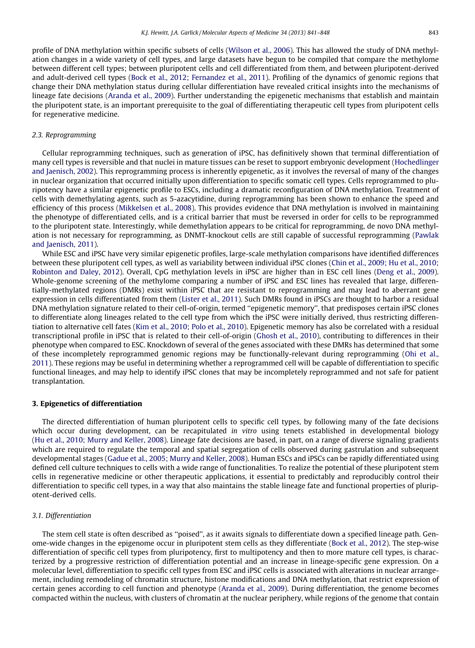profile of DNA methylation within specific subsets of cells ([Wilson et al., 2006\)](#page-7-0). This has allowed the study of DNA methylation changes in a wide variety of cell types, and large datasets have begun to be compiled that compare the methylome between different cell types; between pluripotent cells and cell differentiated from them, and between pluripotent-derived and adult-derived cell types [\(Bock et al., 2012; Fernandez et al., 2011\)](#page-6-0). Profiling of the dynamics of genomic regions that change their DNA methylation status during cellular differentiation have revealed critical insights into the mechanisms of lineage fate decisions [\(Aranda et al., 2009\)](#page-5-0). Further understanding the epigenetic mechanisms that establish and maintain the pluripotent state, is an important prerequisite to the goal of differentiating therapeutic cell types from pluripotent cells for regenerative medicine.

#### 2.3. Reprogramming

Cellular reprogramming techniques, such as generation of iPSC, has definitively shown that terminal differentiation of many cell types is reversible and that nuclei in mature tissues can be reset to support embryonic development ([Hochedlinger](#page-6-0) [and Jaenisch, 2002](#page-6-0)). This reprogramming process is inherently epigenetic, as it involves the reversal of many of the changes in nuclear organization that occurred initially upon differentiation to specific somatic cell types. Cells reprogrammed to pluripotency have a similar epigenetic profile to ESCs, including a dramatic reconfiguration of DNA methylation. Treatment of cells with demethylating agents, such as 5-azacytidine, during reprogramming has been shown to enhance the speed and efficiency of this process [\(Mikkelsen et al., 2008\)](#page-6-0). This provides evidence that DNA methylation is involved in maintaining the phenotype of differentiated cells, and is a critical barrier that must be reversed in order for cells to be reprogrammed to the pluripotent state. Interestingly, while demethylation appears to be critical for reprogramming, de novo DNA methylation is not necessary for reprogramming, as DNMT-knockout cells are still capable of successful reprogramming [\(Pawlak](#page-7-0) [and Jaenisch, 2011\)](#page-7-0).

While ESC and iPSC have very similar epigenetic profiles, large-scale methylation comparisons have identified differences between these pluripotent cell types, as well as variability between individual iPSC clones [\(Chin et al., 2009; Hu et al., 2010;](#page-6-0) [Robinton and Daley, 2012](#page-6-0)). Overall, CpG methylation levels in iPSC are higher than in ESC cell lines [\(Deng et al., 2009](#page-6-0)). Whole-genome screening of the methylome comparing a number of iPSC and ESC lines has revealed that large, differentially-methylated regions (DMRs) exist within iPSC that are resistant to reprogramming and may lead to aberrant gene expression in cells differentiated from them [\(Lister et al., 2011](#page-6-0)). Such DMRs found in iPSCs are thought to harbor a residual DNA methylation signature related to their cell-of-origin, termed ''epigenetic memory'', that predisposes certain iPSC clones to differentiate along lineages related to the cell type from which the iPSC were initially derived, thus restricting differentiation to alternative cell fates ([Kim et al., 2010; Polo et al., 2010\)](#page-6-0). Epigenetic memory has also be correlated with a residual transcriptional profile in iPSC that is related to their cell-of-origin [\(Ghosh et al., 2010](#page-6-0)), contributing to differences in their phenotype when compared to ESC. Knockdown of several of the genes associated with these DMRs has determined that some of these incompletely reprogrammed genomic regions may be functionally-relevant during reprogramming [\(Ohi et al.,](#page-7-0) [2011\)](#page-7-0). These regions may be useful in determining whether a reprogrammed cell will be capable of differentiation to specific functional lineages, and may help to identify iPSC clones that may be incompletely reprogrammed and not safe for patient transplantation.

#### 3. Epigenetics of differentiation

The directed differentiation of human pluripotent cells to specific cell types, by following many of the fate decisions which occur during development, can be recapitulated *in vitro* using tenets established in developmental biology ([Hu et al., 2010; Murry and Keller, 2008\)](#page-6-0). Lineage fate decisions are based, in part, on a range of diverse signaling gradients which are required to regulate the temporal and spatial segregation of cells observed during gastrulation and subsequent developmental stages [\(Gadue et al., 2005; Murry and Keller, 2008\)](#page-6-0). Human ESCs and iPSCs can be rapidly differentiated using defined cell culture techniques to cells with a wide range of functionalities. To realize the potential of these pluripotent stem cells in regenerative medicine or other therapeutic applications, it essential to predictably and reproducibly control their differentiation to specific cell types, in a way that also maintains the stable lineage fate and functional properties of pluripotent-derived cells.

#### 3.1. Differentiation

The stem cell state is often described as ''poised'', as it awaits signals to differentiate down a specified lineage path. Genome-wide changes in the epigenome occur in pluripotent stem cells as they differentiate [\(Bock et al., 2012\)](#page-6-0). The step-wise differentiation of specific cell types from pluripotency, first to multipotency and then to more mature cell types, is characterized by a progressive restriction of differentiation potential and an increase in lineage-specific gene expression. On a molecular level, differentiation to specific cell types from ESC and iPSC cells is associated with alterations in nuclear arrangement, including remodeling of chromatin structure, histone modifications and DNA methylation, that restrict expression of certain genes according to cell function and phenotype ([Aranda et al., 2009](#page-5-0)). During differentiation, the genome becomes compacted within the nucleus, with clusters of chromatin at the nuclear periphery, while regions of the genome that contain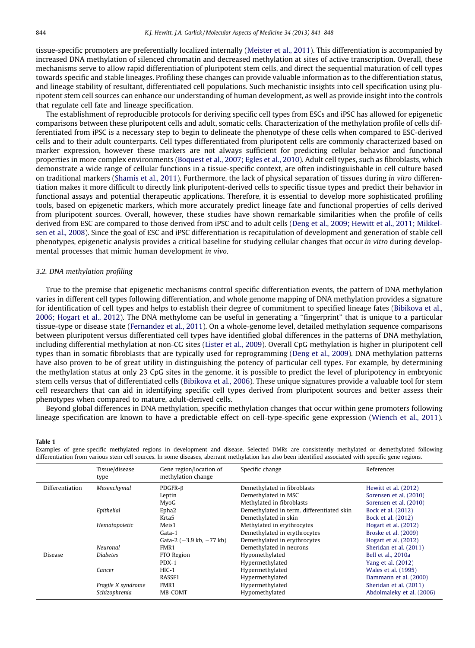<span id="page-3-0"></span>tissue-specific promoters are preferentially localized internally ([Meister et al., 2011\)](#page-6-0). This differentiation is accompanied by increased DNA methylation of silenced chromatin and decreased methylation at sites of active transcription. Overall, these mechanisms serve to allow rapid differentiation of pluripotent stem cells, and direct the sequential maturation of cell types towards specific and stable lineages. Profiling these changes can provide valuable information as to the differentiation status, and lineage stability of resultant, differentiated cell populations. Such mechanistic insights into cell specification using pluripotent stem cell sources can enhance our understanding of human development, as well as provide insight into the controls that regulate cell fate and lineage specification.

The establishment of reproducible protocols for deriving specific cell types from ESCs and iPSC has allowed for epigenetic comparisons between these pluripotent cells and adult, somatic cells. Characterization of the methylation profile of cells differentiated from iPSC is a necessary step to begin to delineate the phenotype of these cells when compared to ESC-derived cells and to their adult counterparts. Cell types differentiated from pluripotent cells are commonly characterized based on marker expression, however these markers are not always sufficient for predicting cellular behavior and functional properties in more complex environments ([Boquest et al., 2007; Egles et al., 2010](#page-6-0)). Adult cell types, such as fibroblasts, which demonstrate a wide range of cellular functions in a tissue-specific context, are often indistinguishable in cell culture based on traditional markers ([Shamis et al., 2011](#page-7-0)). Furthermore, the lack of physical separation of tissues during in vitro differentiation makes it more difficult to directly link pluripotent-derived cells to specific tissue types and predict their behavior in functional assays and potential therapeutic applications. Therefore, it is essential to develop more sophisticated profiling tools, based on epigenetic markers, which more accurately predict lineage fate and functional properties of cells derived from pluripotent sources. Overall, however, these studies have shown remarkable similarities when the profile of cells derived from ESC are compared to those derived from iPSC and to adult cells [\(Deng et al., 2009; Hewitt et al., 2011; Mikkel](#page-6-0)[sen et al., 2008\)](#page-6-0). Since the goal of ESC and iPSC differentiation is recapitulation of development and generation of stable cell phenotypes, epigenetic analysis provides a critical baseline for studying cellular changes that occur in vitro during developmental processes that mimic human development in vivo.

#### 3.2. DNA methylation profiling

True to the premise that epigenetic mechanisms control specific differentiation events, the pattern of DNA methylation varies in different cell types following differentiation, and whole genome mapping of DNA methylation provides a signature for identification of cell types and helps to establish their degree of commitment to specified lineage fates ([Bibikova et al.,](#page-6-0) [2006; Hogart et al., 2012\)](#page-6-0). The DNA methylome can be useful in generating a ''fingerprint'' that is unique to a particular tissue-type or disease state [\(Fernandez et al., 2011\)](#page-6-0). On a whole-genome level, detailed methylation sequence comparisons between pluripotent versus differentiated cell types have identified global differences in the patterns of DNA methylation, including differential methylation at non-CG sites [\(Lister et al., 2009](#page-6-0)). Overall CpG methylation is higher in pluripotent cell types than in somatic fibroblasts that are typically used for reprogramming [\(Deng et al., 2009\)](#page-6-0). DNA methylation patterns have also proven to be of great utility in distinguishing the potency of particular cell types. For example, by determining the methylation status at only 23 CpG sites in the genome, it is possible to predict the level of pluripotency in embryonic stem cells versus that of differentiated cells [\(Bibikova et al., 2006](#page-6-0)). These unique signatures provide a valuable tool for stem cell researchers that can aid in identifying specific cell types derived from pluripotent sources and better assess their phenotypes when compared to mature, adult-derived cells.

Beyond global differences in DNA methylation, specific methylation changes that occur within gene promoters following lineage specification are known to have a predictable effect on cell-type-specific gene expression [\(Wiench et al., 2011](#page-7-0)).

#### Table 1

Examples of gene-specific methylated regions in development and disease. Selected DMRs are consistently methylated or demethylated following differentiation from various stem cell sources. In some diseases, aberrant methylation has also been identified associated with specific gene regions.

|                 | Tissue/disease<br>type | Gene region/location of<br>methylation change | Specific change                           | References                |
|-----------------|------------------------|-----------------------------------------------|-------------------------------------------|---------------------------|
| Differentiation | Mesenchymal            | $PDGFR-\beta$                                 | Demethylated in fibroblasts               | Hewitt et al. (2012)      |
|                 |                        | Leptin                                        | Demethylated in MSC                       | Sorensen et al. (2010)    |
|                 |                        | MyoG                                          | Methylated in fibroblasts                 | Sorensen et al. (2010)    |
|                 | Epithelial             | Epha2                                         | Demethylated in term, differentiated skin | Bock et al. (2012)        |
|                 |                        | Krta5                                         | Demethylated in skin                      | Bock et al. (2012)        |
|                 | Hematopoietic          | Meis1                                         | Methylated in erythrocytes                | Hogart et al. (2012)      |
|                 |                        | Gata-1                                        | Demethylated in erythrocytes              | Broske et al. (2009)      |
|                 |                        | Gata-2 $(-3.9 \text{ kb}, -77 \text{ kb})$    | Demethylated in erythrocytes              | Hogart et al. (2012)      |
|                 | Neuronal               | FMR1                                          | Demethylated in neurons                   | Sheridan et al. (2011)    |
| <b>Disease</b>  | <b>Diabetes</b>        | FTO Region                                    | Hypomethylated                            | Bell et al., 2010a        |
|                 |                        | $PDX-1$                                       | Hypermethylated                           | Yang et al. (2012)        |
|                 | Cancer                 | $HIC-1$                                       | Hypermethylated                           | Wales et al. (1995)       |
|                 |                        | RASSF1                                        | Hypermethylated                           | Dammann et al. (2000)     |
|                 | Fragile X syndrome     | FMR1                                          | Hypermethylated                           | Sheridan et al. (2011)    |
|                 | Schizophrenia          | MB-COMT                                       | Hypomethylated                            | Abdolmaleky et al. (2006) |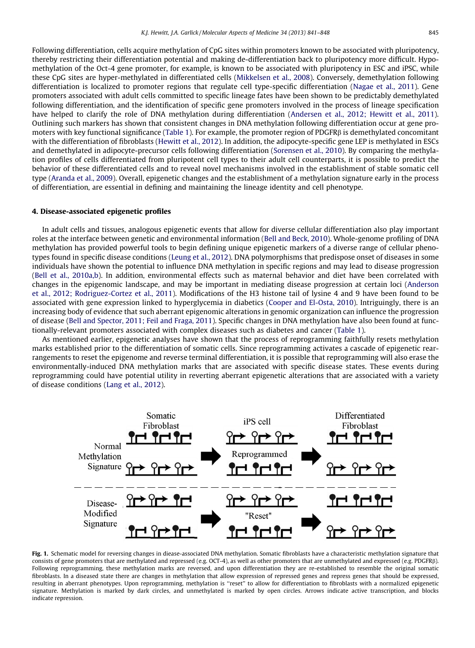<span id="page-4-0"></span>Following differentiation, cells acquire methylation of CpG sites within promoters known to be associated with pluripotency, thereby restricting their differentiation potential and making de-differentiation back to pluripotency more difficult. Hypomethylation of the Oct-4 gene promoter, for example, is known to be associated with pluripotency in ESC and iPSC, while these CpG sites are hyper-methylated in differentiated cells [\(Mikkelsen et al., 2008](#page-6-0)). Conversely, demethylation following differentiation is localized to promoter regions that regulate cell type-specific differentiation ([Nagae et al., 2011](#page-7-0)). Gene promoters associated with adult cells committed to specific lineage fates have been shown to be predictably demethylated following differentiation, and the identification of specific gene promoters involved in the process of lineage specification have helped to clarify the role of DNA methylation during differentiation [\(Andersen et al., 2012; Hewitt et al., 2011](#page-5-0)). Outlining such markers has shown that consistent changes in DNA methylation following differentiation occur at gene pro-moters with key functional significance ([Table 1\)](#page-3-0). For example, the promoter region of PDGFRB is demethylated concomitant with the differentiation of fibroblasts [\(Hewitt et al., 2012\)](#page-6-0). In addition, the adipocyte-specific gene LEP is methylated in ESCs and demethylated in adipocyte-precursor cells following differentiation ([Sorensen et al., 2010](#page-7-0)). By comparing the methylation profiles of cells differentiated from pluripotent cell types to their adult cell counterparts, it is possible to predict the behavior of these differentiated cells and to reveal novel mechanisms involved in the establishment of stable somatic cell type ([Aranda et al., 2009](#page-5-0)). Overall, epigenetic changes and the establishment of a methylation signature early in the process of differentiation, are essential in defining and maintaining the lineage identity and cell phenotype.

#### 4. Disease-associated epigenetic profiles

In adult cells and tissues, analogous epigenetic events that allow for diverse cellular differentiation also play important roles at the interface between genetic and environmental information ([Bell and Beck, 2010](#page-6-0)). Whole-genome profiling of DNA methylation has provided powerful tools to begin defining unique epigenetic markers of a diverse range of cellular phenotypes found in specific disease conditions [\(Leung et al., 2012\)](#page-6-0). DNA polymorphisms that predispose onset of diseases in some individuals have shown the potential to influence DNA methylation in specific regions and may lead to disease progression ([Bell et al., 2010a,b\)](#page-6-0). In addition, environmental effects such as maternal behavior and diet have been correlated with changes in the epigenomic landscape, and may be important in mediating disease progression at certain loci [\(Anderson](#page-5-0) [et al., 2012; Rodriguez-Cortez et al., 2011\)](#page-5-0). Modifications of the H3 histone tail of lysine 4 and 9 have been found to be associated with gene expression linked to hyperglycemia in diabetics [\(Cooper and El-Osta, 2010](#page-6-0)). Intriguingly, there is an increasing body of evidence that such aberrant epigenomic alterations in genomic organization can influence the progression of disease [\(Bell and Spector, 2011; Feil and Fraga, 2011](#page-6-0)). Specific changes in DNA methylation have also been found at functionally-relevant promoters associated with complex diseases such as diabetes and cancer ([Table 1](#page-3-0)).

As mentioned earlier, epigenetic analyses have shown that the process of reprogramming faithfully resets methylation marks established prior to the differentiation of somatic cells. Since reprogramming activates a cascade of epigenetic rearrangements to reset the epigenome and reverse terminal differentiation, it is possible that reprogramming will also erase the environmentally-induced DNA methylation marks that are associated with specific disease states. These events during reprogramming could have potential utility in reverting aberrant epigenetic alterations that are associated with a variety of disease conditions [\(Lang et al., 2012\)](#page-6-0).



Fig. 1. Schematic model for reversing changes in diease-associated DNA methylation. Somatic fibroblasts have a characteristic methylation signature that consists of gene promoters that are methylated and repressed (e.g. OCT-4), as well as other promoters that are unmethylated and expressed (e.g. PDGFRb). Following reprogramming, these methylation marks are reversed, and upon differentiation they are re-established to resemble the original somatic fibroblasts. In a diseased state there are changes in methylation that allow expression of repressed genes and repress genes that should be expressed, resulting in aberrant phenotypes. Upon reprogramming, methylation is ''reset'' to allow for differentiation to fibroblasts with a normalized epigenetic signature. Methylation is marked by dark circles, and unmethylated is marked by open circles. Arrows indicate active transcription, and blocks indicate repression.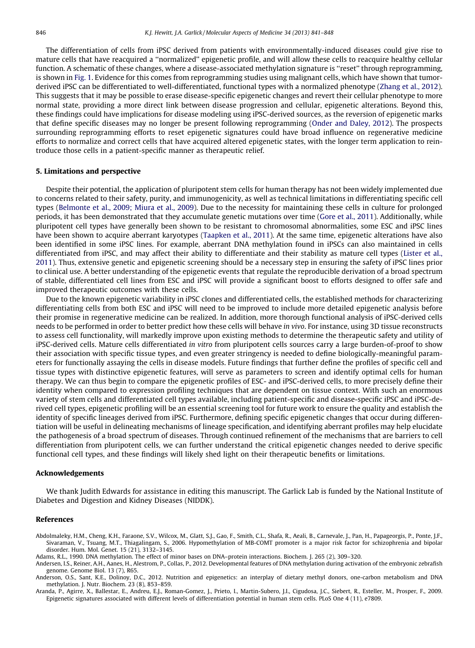<span id="page-5-0"></span>The differentiation of cells from iPSC derived from patients with environmentally-induced diseases could give rise to mature cells that have reacquired a ''normalized'' epigenetic profile, and will allow these cells to reacquire healthy cellular function. A schematic of these changes, where a disease-associated methylation signature is ''reset'' through reprogramming, is shown in [Fig. 1.](#page-4-0) Evidence for this comes from reprogramming studies using malignant cells, which have shown that tumorderived iPSC can be differentiated to well-differentiated, functional types with a normalized phenotype ([Zhang et al., 2012](#page-7-0)). This suggests that it may be possible to erase disease-specific epigenetic changes and revert their cellular phenotype to more normal state, providing a more direct link between disease progression and cellular, epigenetic alterations. Beyond this, these findings could have implications for disease modeling using iPSC-derived sources, as the reversion of epigenetic marks that define specific diseases may no longer be present following reprogramming ([Onder and Daley, 2012](#page-7-0)). The prospects surrounding reprogramming efforts to reset epigenetic signatures could have broad influence on regenerative medicine efforts to normalize and correct cells that have acquired altered epigenetic states, with the longer term application to reintroduce those cells in a patient-specific manner as therapeutic relief.

#### 5. Limitations and perspective

Despite their potential, the application of pluripotent stem cells for human therapy has not been widely implemented due to concerns related to their safety, purity, and immunogenicity, as well as technical limitations in differentiating specific cell types [\(Belmonte et al., 2009; Miura et al., 2009](#page-6-0)). Due to the necessity for maintaining these cells in culture for prolonged periods, it has been demonstrated that they accumulate genetic mutations over time ([Gore et al., 2011\)](#page-6-0). Additionally, while pluripotent cell types have generally been shown to be resistant to chromosomal abnormalities, some ESC and iPSC lines have been shown to acquire aberrant karyotypes [\(Taapken et al., 2011\)](#page-7-0). At the same time, epigenetic alterations have also been identified in some iPSC lines. For example, aberrant DNA methylation found in iPSCs can also maintained in cells differentiated from iPSC, and may affect their ability to differentiate and their stability as mature cell types ([Lister et al.,](#page-6-0) [2011](#page-6-0)). Thus, extensive genetic and epigenetic screening should be a necessary step in ensuring the safety of iPSC lines prior to clinical use. A better understanding of the epigenetic events that regulate the reproducible derivation of a broad spectrum of stable, differentiated cell lines from ESC and iPSC will provide a significant boost to efforts designed to offer safe and improved therapeutic outcomes with these cells.

Due to the known epigenetic variability in iPSC clones and differentiated cells, the established methods for characterizing differentiating cells from both ESC and iPSC will need to be improved to include more detailed epigenetic analysis before their promise in regenerative medicine can be realized. In addition, more thorough functional analysis of iPSC-derived cells needs to be performed in order to better predict how these cells will behave in vivo. For instance, using 3D tissue reconstructs to assess cell functionality, will markedly improve upon existing methods to determine the therapeutic safety and utility of iPSC-derived cells. Mature cells differentiated in vitro from pluripotent cells sources carry a large burden-of-proof to show their association with specific tissue types, and even greater stringency is needed to define biologically-meaningful parameters for functionally assaying the cells in disease models. Future findings that further define the profiles of specific cell and tissue types with distinctive epigenetic features, will serve as parameters to screen and identify optimal cells for human therapy. We can thus begin to compare the epigenetic profiles of ESC- and iPSC-derived cells, to more precisely define their identity when compared to expression profiling techniques that are dependent on tissue context. With such an enormous variety of stem cells and differentiated cell types available, including patient-specific and disease-specific iPSC and iPSC-derived cell types, epigenetic profiling will be an essential screening tool for future work to ensure the quality and establish the identity of specific lineages derived from iPSC. Furthermore, defining specific epigenetic changes that occur during differentiation will be useful in delineating mechanisms of lineage specification, and identifying aberrant profiles may help elucidate the pathogenesis of a broad spectrum of diseases. Through continued refinement of the mechanisms that are barriers to cell differentiation from pluripotent cells, we can further understand the critical epigenetic changes needed to derive specific functional cell types, and these findings will likely shed light on their therapeutic benefits or limitations.

#### Acknowledgements

We thank Judith Edwards for assistance in editing this manuscript. The Garlick Lab is funded by the National Institute of Diabetes and Digestion and Kidney Diseases (NIDDK).

#### References

Abdolmaleky, H.M., Cheng, K.H., Faraone, S.V., Wilcox, M., Glatt, S.J., Gao, F., Smith, C.L., Shafa, R., Aeali, B., Carnevale, J., Pan, H., Papageorgis, P., Ponte, J.F., Sivaraman, V., Tsuang, M.T., Thiagalingam, S., 2006. Hypomethylation of MB-COMT promoter is a major risk factor for schizophrenia and bipolar disorder. Hum. Mol. Genet. 15 (21), 3132–3145.

Adams, R.L., 1990. DNA methylation. The effect of minor bases on DNA–protein interactions. Biochem. J. 265 (2), 309–320.

Andersen, I.S., Reiner, A.H., Aanes, H., Alestrom, P., Collas, P., 2012. Developmental features of DNA methylation during activation of the embryonic zebrafish genome. Genome Biol. 13 (7), R65.

Anderson, O.S., Sant, K.E., Dolinoy, D.C., 2012. Nutrition and epigenetics: an interplay of dietary methyl donors, one-carbon metabolism and DNA methylation. J. Nutr. Biochem. 23 (8), 853–859.

Aranda, P., Agirre, X., Ballestar, E., Andreu, E.J., Roman-Gomez, J., Prieto, I., Martin-Subero, J.I., Cigudosa, J.C., Siebert, R., Esteller, M., Prosper, F., 2009. Epigenetic signatures associated with different levels of differentiation potential in human stem cells. PLoS One 4 (11), e7809.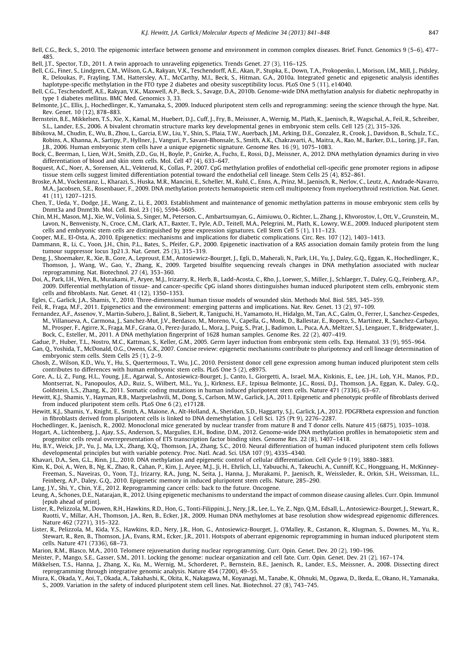<span id="page-6-0"></span>Bell, C.G., Beck, S., 2010. The epigenomic interface between genome and environment in common complex diseases. Brief. Funct. Genomics 9 (5–6), 477– 485.

Bell, J.T., Spector, T.D., 2011. A twin approach to unraveling epigenetics. Trends Genet. 27 (3), 116-125.

- Bell, C.G., Finer, S., Lindgren, C.M., Wilson, G.A., Rakyan, V.K., Teschendorff, A.E., Akan, P., Stupka, E., Down, T.A., Prokopenko, I., Morison, I.M., Mill, J., Pidsley, R., Deloukas, P., Frayling, T.M., Hattersley, A.T., McCarthy, M.I., Beck, S., Hitman, G.A., 2010a. Integrated genetic and epigenetic analysis identifies haplotype-specific methylation in the FTO type 2 diabetes and obesity susceptibility locus. PLoS One 5 (11), e14040.
- Bell, C.G., Teschendorff, A.E., Rakyan, V.K., Maxwell, A.P., Beck, S., Savage, D.A., 2010b. Genome-wide DNA methylation analysis for diabetic nephropathy in type 1 diabetes mellitus. BMC Med. Genomics 3, 33.
- Belmonte, J.C., Ellis, J., Hochedlinger, K., Yamanaka, S., 2009. Induced pluripotent stem cells and reprogramming: seeing the science through the hype. Nat. Rev. Genet. 10 (12), 878–883.
- Bernstein, B.E., Mikkelsen, T.S., Xie, X., Kamal, M., Huebert, D.J., Cuff, J., Fry, B., Meissner, A., Wernig, M., Plath, K., Jaenisch, R., Wagschal, A., Feil, R., Schreiber, S.L., Lander, E.S., 2006. A bivalent chromatin structure marks key developmental genes in embryonic stem cells. Cell 125 (2), 315–326.
- Bibikova, M., Chudin, E., Wu, B., Zhou, L., Garcia, E.W., Liu, Y., Shin, S., Plaia, T.W., Auerbach, J.M., Arking, D.E., Gonzalez, R., Crook, J., Davidson, B., Schulz, T.C., Robins, A., Khanna, A., Sartipy, P., Hyllner, J., Vanguri, P., Savant-Bhonsale, S., Smith, A.K., Chakravarti, A., Maitra, A., Rao, M., Barker, D.L., Loring, J.F., Fan, J.B., 2006. Human embryonic stem cells have a unique epigenetic signature. Genome Res. 16 (9), 1075–1083.
- Bock, C., Beerman, I., Lien, W.H., Smith, Z.D., Gu, H., Boyle, P., Gnirke, A., Fuchs, E., Rossi, D.J., Meissner, A., 2012. DNA methylation dynamics during in vivo differentiation of blood and skin stem cells. Mol. Cell 47 (4), 633–647.
- Boquest, A.C., Noer, A., Sorensen, A.L., Vekterud, K., Collas, P., 2007. CpG methylation profiles of endothelial cell-specific gene promoter regions in adipose tissue stem cells suggest limited differentiation potential toward the endothelial cell lineage. Stem Cells 25 (4), 852–861.
- Broske, A.M., Vockentanz, L., Kharazi, S., Huska, M.R., Mancini, E., Scheller, M., Kuhl, C., Enns, A., Prinz, M., Jaenisch, R., Nerlov, C., Leutz, A., Andrade-Navarro, M.A., Jacobsen, S.E., Rosenbauer, F., 2009. DNA methylation protects hematopoietic stem cell multipotency from myeloerythroid restriction. Nat. Genet. 41 (11), 1207–1215.
- Chen, T., Ueda, Y., Dodge, J.E., Wang, Z., Li, E., 2003. Establishment and maintenance of genomic methylation patterns in mouse embryonic stem cells by Dnmt3a and Dnmt3b. Mol. Cell. Biol. 23 (16), 5594–5605.
- Chin, M.H., Mason, M.J., Xie, W., Volinia, S., Singer, M., Peterson, C., Ambartsumyan, G., Aimiuwu, O., Richter, L., Zhang, J., Khvorostov, I., Ott, V., Grunstein, M., Lavon, N., Benvenisty, N., Croce, C.M., Clark, A.T., Baxter, T., Pyle, A.D., Teitell, M.A., Pelegrini, M., Plath, K., Lowry, W.E., 2009. Induced pluripotent stem cells and embryonic stem cells are distinguished by gene expression signatures. Cell Stem Cell 5 (1), 111-123.
- Cooper, M.E., El-Osta, A., 2010. Epigenetics: mechanisms and implications for diabetic complications. Circ. Res. 107 (12), 1403–1413.
- Dammann, R., Li, C., Yoon, J.H., Chin, P.L., Bates, S., Pfeifer, G.P., 2000. Epigenetic inactivation of a RAS association domain family protein from the lung tumour suppressor locus 3p21.3. Nat. Genet. 25 (3), 315–319.
- Deng, J., Shoemaker, R., Xie, B., Gore, A., Leproust, E.M., Antosiewicz-Bourget, J., Egli, D., Maherali, N., Park, I.H., Yu, J., Daley, G.Q., Eggan, K., Hochedlinger, K., Thomson, J., Wang, W., Gao, Y., Zhang, K., 2009. Targeted bisulfite sequencing reveals changes in DNA methylation associated with nuclear reprogramming. Nat. Biotechnol. 27 (4), 353–360.
- Doi, A., Park, I.H., Wen, B., Murakami, P., Aryee, M.J., Irizarry, R., Herb, B., Ladd-Acosta, C., Rho, J., Loewer, S., Miller, J., Schlaeger, T., Daley, G.Q., Feinberg, A.P., 2009. Differential methylation of tissue- and cancer-specific CpG island shores distinguishes human induced pluripotent stem cells, embryonic stem cells and fibroblasts. Nat. Genet. 41 (12), 1350–1353.
- Egles, C., Garlick, J.A., Shamis, Y., 2010. Three-dimensional human tissue models of wounded skin. Methods Mol. Biol. 585, 345–359.
- Feil, R., Fraga, M.F., 2011. Epigenetics and the environment: emerging patterns and implications. Nat. Rev. Genet. 13 (2), 97–109.
- Fernandez, A.F., Assenov, Y., Martin-Subero, J., Balint, B., Siebert, R., Taniguchi, H., Yamamoto, H., Hidalgo, M., Tan, A.C., Galm, O., Ferrer, I., Sanchez-Cespedes, M., Villanueva, A., Carmona, J., Sanchez-Mut, J.V., Berdasco, M., Moreno, V., Capella, G., Monk, D., Ballestar, E., Ropero, S., Martinez, R., Sanchez-Carbayo, M., Prosper, F., Agirre, X., Fraga, M.F., Grana, O., Perez-Jurado, L., Mora, J., Puig, S., Prat, J., Badimon, L., Puca, A.A., Meltzer, S.J., Lengauer, T., Bridgewater, J., Bock, C., Esteller, M., 2011. A DNA methylation fingerprint of 1628 human samples. Genome Res. 22 (2), 407–419.
- Gadue, P., Huber, T.L., Nostro, M.C., Kattman, S., Keller, G.M., 2005. Germ layer induction from embryonic stem cells. Exp. Hematol. 33 (9), 955–964.
- Gan, Q., Yoshida, T., McDonald, O.G., Owens, G.K., 2007. Concise review: epigenetic mechanisms contribute to pluripotency and cell lineage determination of embryonic stem cells. Stem Cells 25 (1), 2–9.
- Ghosh, Z., Wilson, K.D., Wu, Y., Hu, S., Quertermous, T., Wu, J.C., 2010. Persistent donor cell gene expression among human induced pluripotent stem cells contributes to differences with human embryonic stem cells. PLoS One 5 (2), e8975.
- Gore, A., Li, Z., Fung, H.L., Young, J.E., Agarwal, S., Antosiewicz-Bourget, J., Canto, I., Giorgetti, A., Israel, M.A., Kiskinis, E., Lee, J.H., Loh, Y.H., Manos, P.D., Montserrat, N., Panopoulos, A.D., Ruiz, S., Wilbert, M.L., Yu, J., Kirkness, E.F., Izpisua Belmonte, J.C., Rossi, D.J., Thomson, J.A., Eggan, K., Daley, G.Q., Goldstein, L.S., Zhang, K., 2011. Somatic coding mutations in human induced pluripotent stem cells. Nature 471 (7336), 63–67.
- Hewitt, K.J., Shamis, Y., Hayman, R.B., Margvelashvili, M., Dong, S., Carlson, M.W., Garlick, J.A., 2011. Epigenetic and phenotypic profile of fibroblasts derived from induced pluripotent stem cells. PLoS One 6 (2), e17128.
- Hewitt, K.J., Shamis, Y., Knight, E., Smith, A., Maione, A., Alt-Holland, A., Sheridan, S.D., Haggarty, S.J., Garlick, J.A., 2012. PDGFRbeta expression and function in fibroblasts derived from pluripotent cells is linked to DNA demethylation. J. Cell Sci. 125 (Pt 9), 2276–2287.
- Hochedlinger, K., Jaenisch, R., 2002. Monoclonal mice generated by nuclear transfer from mature B and T donor cells. Nature 415 (6875), 1035–1038.
- Hogart, A., Lichtenberg, J., Ajay, S.S., Anderson, S., Margulies, E.H., Bodine, D.M., 2012. Genome-wide DNA methylation profiles in hematopoietic stem and progenitor cells reveal overrepresentation of ETS transcription factor binding sites. Genome Res. 22 (8), 1407–1418.
- Hu, B.Y., Weick, J.P., Yu, J., Ma, L.X., Zhang, X.Q., Thomson, J.A., Zhang, S.C., 2010. Neural differentiation of human induced pluripotent stem cells follows developmental principles but with variable potency. Proc. Natl. Acad. Sci. USA 107 (9), 4335–4340.
- Khavari, D.A., Sen, G.L., Rinn, J.L., 2010. DNA methylation and epigenetic control of cellular differentiation. Cell Cycle 9 (19), 3880–3883.
- Kim, K., Doi, A., Wen, B., Ng, K., Zhao, R., Cahan, P., Kim, J., Aryee, M.J., Ji, H., Ehrlich, L.I., Yabuuchi, A., Takeuchi, A., Cunniff, K.C., Hongguang, H., McKinney-Freeman, S., Naveiras, O., Yoon, T.J., Irizarry, R.A., Jung, N., Seita, J., Hanna, J., Murakami, P., Jaenisch, R., Weissleder, R., Orkin, S.H., Weissman, I.L., Feinberg, A.P., Daley, G.Q., 2010. Epigenetic memory in induced pluripotent stem cells. Nature, 285–290.
- Lang, J.Y., Shi, Y., Chin, Y.E., 2012. Reprogramming cancer cells: back to the future. Oncogene.
- Leung, A., Schones, D.E., Natarajan, R., 2012. Using epigenetic mechanisms to understand the impact of common disease causing alleles. Curr. Opin. Immunol [epub ahead of print].
- Lister, R., Pelizzola, M., Dowen, R.H., Hawkins, R.D., Hon, G., Tonti-Filippini, J., Nery, J.R., Lee, L., Ye, Z., Ngo, Q.M., Edsall, L., Antosiewicz-Bourget, J., Stewart, R., Ruotti, V., Millar, A.H., Thomson, J.A., Ren, B., Ecker, J.R., 2009. Human DNA methylomes at base resolution show widespread epigenomic differences. Nature 462 (7271), 315–322.
- Lister, R., Pelizzola, M., Kida, Y.S., Hawkins, R.D., Nery, J.R., Hon, G., Antosiewicz-Bourget, J., O'Malley, R., Castanon, R., Klugman, S., Downes, M., Yu, R., Stewart, R., Ren, B., Thomson, J.A., Evans, R.M., Ecker, J.R., 2011. Hotspots of aberrant epigenomic reprogramming in human induced pluripotent stem cells. Nature 471 (7336), 68–73.
- Marion, R.M., Blasco, M.A., 2010. Telomere rejuvenation during nuclear reprogramming. Curr. Opin. Genet. Dev. 20 (2), 190–196.
- Meister, P., Mango, S.E., Gasser, S.M., 2011. Locking the genome: nuclear organization and cell fate. Curr. Opin. Genet. Dev. 21 (2), 167–174.
- Mikkelsen, T.S., Hanna, J., Zhang, X., Ku, M., Wernig, M., Schorderet, P., Bernstein, B.E., Jaenisch, R., Lander, E.S., Meissner, A., 2008. Dissecting direct reprogramming through integrative genomic analysis. Nature 454 (7200), 49–55.
- Miura, K., Okada, Y., Aoi, T., Okada, A., Takahashi, K., Okita, K., Nakagawa, M., Koyanagi, M., Tanabe, K., Ohnuki, M., Ogawa, D., Ikeda, E., Okano, H., Yamanaka, S., 2009. Variation in the safety of induced pluripotent stem cell lines. Nat. Biotechnol. 27 (8), 743–745.